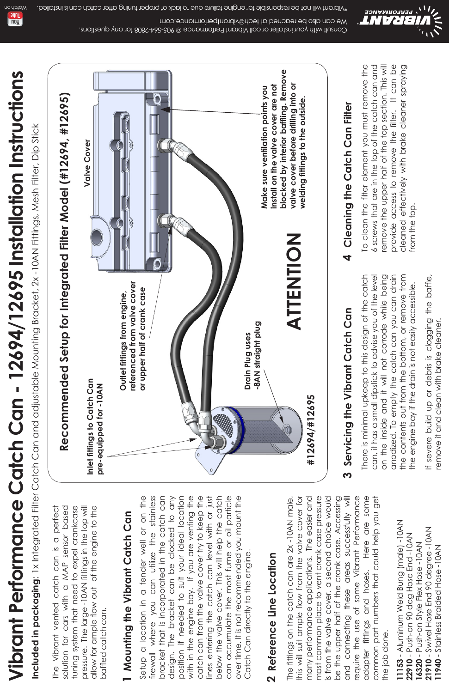# Vibrant Performance Catch Can - 12694/12695 Installation Instructions **Vibrant Performance Catch Can - 12694/12695 Installation Instructions**

**Kattle**<br>**Kattle**<br>**Mattl** 

**Included in packaging**: 1x Integrated Filter Catch Can and adjustable Mounting Bracket, 2x -10AN Fittings, Mesh Filter, Dip Stick **ncluded in packaging:** 1x Integrated Filter Catch Can and adjustable Mounting Bracket, 2x-10AN Fittings, Mesh Filter, Dip Stick

The Vibrant vented catch can is a perfect solution for cars with a MAP sensor based tuning system that need to expel crankcase tuning system that need to expel crankcase pressure. The large-10AN fittings in the top will pressure. The large -10AN fittings in the top will allow for ample flow out of the engine to the allow for ample flow out of the engine to the The Vibrant vented catch can is a perfect solution for cars with a MAP sensor based battled catch can. baffled catch can.

### **1** Mounting the Vibrant Catch Can **Mounting the Vibrant Catch Can**

Setup a location in a fender well or on the firewall where you can utilize the stainless bracket that is incorporated in the catch can design. The bracket can be clocked to any position if needed to suit your ideal location with in the engine bay. If you are venting the catch can from the valve cover try to keep the lines entering the catch can level with or just below the valve cover. This will help the catch can accumulate the most fume or oil particle over time. It is not recommended you mount the Setup a location in a fender well or on the irewall where you can utilize the stainless bracket that is incorporated in the catch can design. The bracket can be clocked to any position if needed to suit your ideal location with in the engine bay. If you are venting the catch can from the valve cover try to keep the below the valve cover. This will help the catch can accumulate the most fume or oil particle over time. It is not recommended you mount the lines entering the catch can level with or just Catch Can directly to the engine. Catch Can directly to the engine.

#### 2 Reference Line Location **Reference Line Location**

The fittings on the catch can are 2x -10AN male, this will suit ample flow from the valve cover for many performance applications. The easier and most common place to vent crank case pressure most common place to vent crank case pressure is from the valve cover, a second choice would is from the valve cover, a second choice would be the upper half of the crank case. Accessing and connecting these areas successfully will require the use of some Vibrant Performance require the use of some Vibrant Performance adapter fittings and hoses. Here are some common part numbers that could help you get The fittings on the catch can are 2x -10AN male, this will suit ample flow from the valve cover for many performance applications. The easier and be the upper half of the crank case. Accessing and connecting these areas successfully will adapter fittings and hoses. Here are some common part numbers that could help you get the job done. the job done.

1153 - Aluminum Weld Bung (male) -10AN **11153** - Aluminum Weld Bung (male) -10AN 21910 - Swivel Hose End 90 degree - 10AN **21910** - Swivel Hose End 90 degree -10AN 22910 - Push-on 90 deg Hose End -10AN **22910** - Push-on 90 deg Hose End -10AN 6320 - Push-on Style Flex Hose -10AN **16320** - Push-on Style Flex Hose -10AN 1940 - Stainless Braided Hose - 10AN **11940** - Stainless Braided Hose -10AN



## **3 Servicing the Vibrant Catch Can Cleaning the Catch Can Filter**

There is minimal upkeep to this design of the catch can, it has a small dipstick to advise you of the level on the inside and it will not corrode while being anodized. To empty the catch can you can drain the contents out from the bottom, or remove from on the inside and it will not corrode while being anodized. To empty the catch can you can drain There is minimal upkeep to this design of the catch can, it has a small dipstick to advise you of the level the contents out from the bottom, or remove from the engine bay if the drain is not easily accessible. the engine bay if the drain is not easily accessible.

If severe build up or debris is clogging the baffle, f severe build up or debris is clogging the baffle, remove it and clean with brake cleaner. emove it and clean with brake cleaner.

## 4 Cleaning the Catch Can Filter

To clean the filter element you must remove the To clean the filter element you must remove the 6 screws that are in the top of the catch can and 6 screws that are in the top of the catch can and remove the upper half of the top section. This will remove the upper half of the top section. This will provide access to remove the filter. It can be provide access to remove the filter. It can be cleaned effectively with brake cleaner spraying cleaned effectively with brake cleaner spraying from the top. from the top.

We can also be reached at tech@vibrantperformance.com

 $64-204$  ROBZ- $499-50$